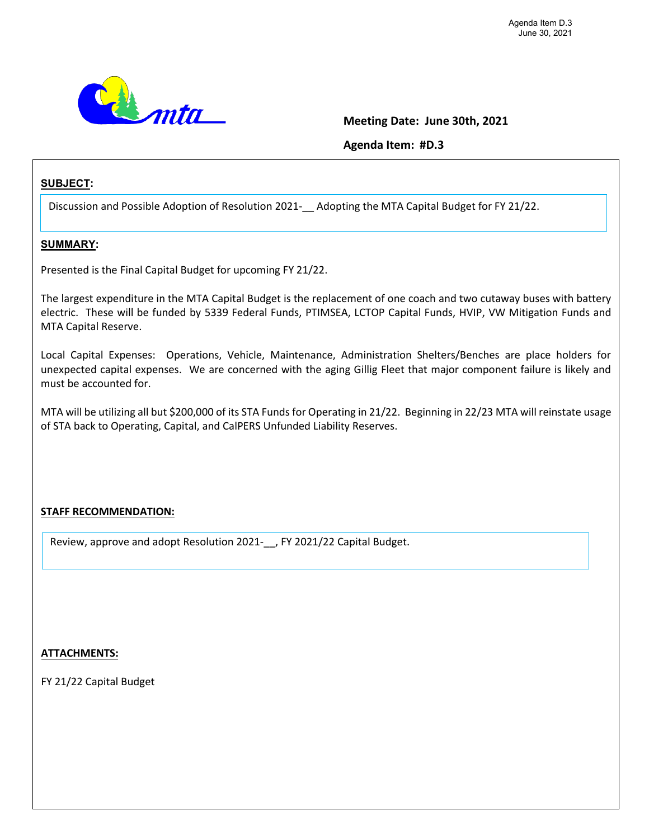

### **Meeting Date: June 30th, 2021**

**Agenda Item: #D.3**

### **SUBJECT:**

Discussion and Possible Adoption of Resolution 2021-\_\_ Adopting the MTA Capital Budget for FY 21/22.

### **SUMMARY:**

Presented is the Final Capital Budget for upcoming FY 21/22.

The largest expenditure in the MTA Capital Budget is the replacement of one coach and two cutaway buses with battery electric. These will be funded by 5339 Federal Funds, PTIMSEA, LCTOP Capital Funds, HVIP, VW Mitigation Funds and MTA Capital Reserve.

Local Capital Expenses: Operations, Vehicle, Maintenance, Administration Shelters/Benches are place holders for unexpected capital expenses. We are concerned with the aging Gillig Fleet that major component failure is likely and must be accounted for.

MTA will be utilizing all but \$200,000 of its STA Funds for Operating in 21/22. Beginning in 22/23 MTA will reinstate usage of STA back to Operating, Capital, and CalPERS Unfunded Liability Reserves.

### **STAFF RECOMMENDATION:**

Review, approve and adopt Resolution 2021-\_\_, FY 2021/22 Capital Budget.

### **ATTACHMENTS:**

FY 21/22 Capital Budget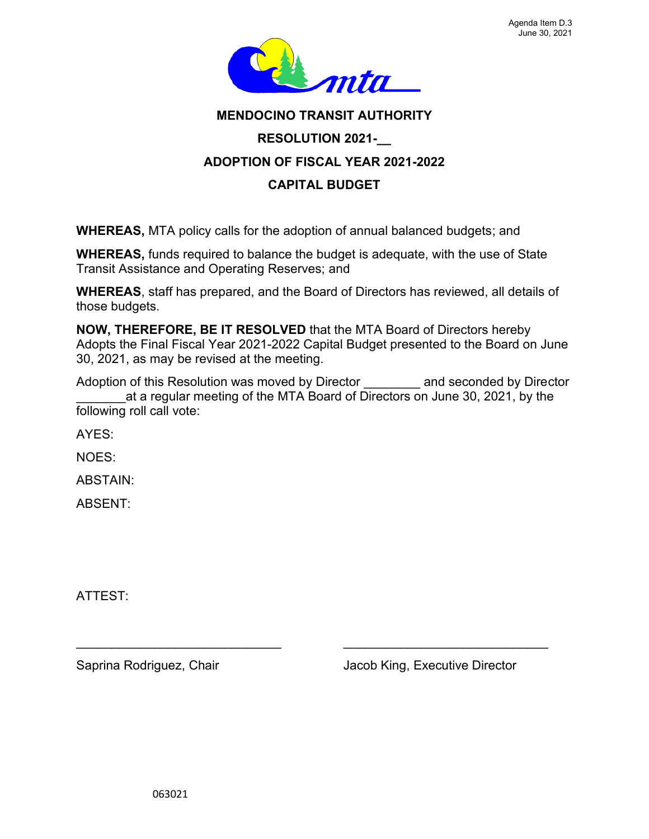

# **MENDOCINO TRANSIT AUTHORITY RESOLUTION 2021-\_\_ ADOPTION OF FISCAL YEAR 2021-2022 CAPITAL BUDGET**

**WHEREAS,** MTA policy calls for the adoption of annual balanced budgets; and

**WHEREAS,** funds required to balance the budget is adequate, with the use of State Transit Assistance and Operating Reserves; and

**WHEREAS**, staff has prepared, and the Board of Directors has reviewed, all details of those budgets.

**NOW, THEREFORE, BE IT RESOLVED** that the MTA Board of Directors hereby Adopts the Final Fiscal Year 2021-2022 Capital Budget presented to the Board on June 30, 2021, as may be revised at the meeting.

Adoption of this Resolution was moved by Director **and seconded by Director** at a regular meeting of the MTA Board of Directors on June 30, 2021, by the following roll call vote:

 $\overline{\phantom{a}}$  , and the contribution of the contribution of  $\overline{\phantom{a}}$  , and  $\overline{\phantom{a}}$  , and  $\overline{\phantom{a}}$  , and  $\overline{\phantom{a}}$  , and  $\overline{\phantom{a}}$  , and  $\overline{\phantom{a}}$  , and  $\overline{\phantom{a}}$  , and  $\overline{\phantom{a}}$  , and  $\overline{\phantom{a}}$  , and

AYES:

NOES:

ABSTAIN:

ABSENT:

ATTEST:

Saprina Rodriguez, Chair **Jacob King, Executive Director**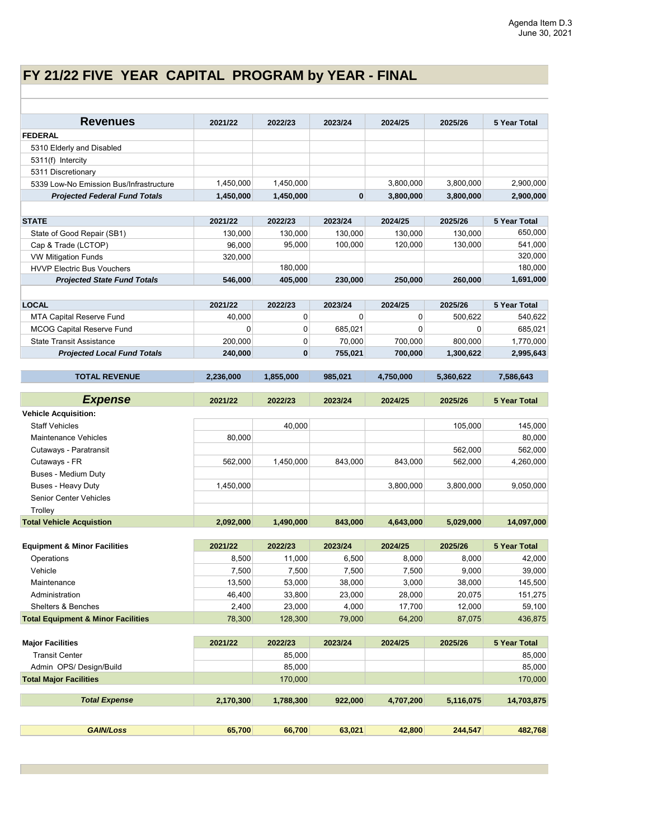# **FY 21/22 FIVE YEAR CAPITAL PROGRAM by YEAR - FINAL**

| <b>Revenues</b>                               | 2021/22   | 2022/23   | 2023/24 | 2024/25     | 2025/26   | 5 Year Total        |
|-----------------------------------------------|-----------|-----------|---------|-------------|-----------|---------------------|
| <b>FEDERAL</b>                                |           |           |         |             |           |                     |
| 5310 Elderly and Disabled                     |           |           |         |             |           |                     |
| 5311(f) Intercity                             |           |           |         |             |           |                     |
| 5311 Discretionary                            |           |           |         |             |           |                     |
| 5339 Low-No Emission Bus/Infrastructure       | 1,450,000 | 1,450,000 |         | 3,800,000   | 3,800,000 | 2,900,000           |
| <b>Projected Federal Fund Totals</b>          | 1,450,000 | 1,450,000 | 0       | 3,800,000   | 3,800,000 | 2,900,000           |
|                                               |           |           |         |             |           |                     |
| <b>STATE</b>                                  | 2021/22   | 2022/23   | 2023/24 | 2024/25     | 2025/26   | 5 Year Total        |
| State of Good Repair (SB1)                    | 130,000   | 130.000   | 130,000 | 130,000     | 130,000   | 650,000             |
| Cap & Trade (LCTOP)                           | 96,000    | 95,000    | 100,000 | 120,000     | 130,000   | 541,000             |
| <b>VW Mitigation Funds</b>                    | 320,000   |           |         |             |           | 320,000             |
| <b>HVVP Electric Bus Vouchers</b>             |           | 180,000   |         |             |           | 180,000             |
| <b>Projected State Fund Totals</b>            | 546,000   | 405,000   | 230,000 | 250,000     | 260,000   | 1,691,000           |
|                                               |           |           |         |             |           |                     |
| <b>LOCAL</b>                                  | 2021/22   | 2022/23   | 2023/24 | 2024/25     | 2025/26   | 5 Year Total        |
| <b>MTA Capital Reserve Fund</b>               | 40,000    | 0         | 0       | 0           | 500,622   | 540,622             |
| <b>MCOG Capital Reserve Fund</b>              | 0         | 0         | 685,021 | $\mathbf 0$ | 0         | 685,021             |
| <b>State Transit Assistance</b>               | 200,000   | 0         | 70,000  | 700.000     | 800,000   | 1,770,000           |
| <b>Projected Local Fund Totals</b>            | 240,000   | $\bf{0}$  | 755,021 | 700,000     | 1,300,622 | 2,995,643           |
|                                               |           |           |         |             |           |                     |
| <b>TOTAL REVENUE</b>                          | 2,236,000 | 1,855,000 | 985,021 | 4,750,000   | 5,360,622 | 7,586,643           |
| <b>Expense</b>                                |           |           |         |             |           |                     |
|                                               | 2021/22   | 2022/23   | 2023/24 | 2024/25     | 2025/26   | <b>5 Year Total</b> |
| <b>Vehicle Acquisition:</b>                   |           |           |         |             |           |                     |
| <b>Staff Vehicles</b>                         |           | 40,000    |         |             | 105,000   | 145,000             |
| <b>Maintenance Vehicles</b>                   | 80,000    |           |         |             |           | 80,000              |
| Cutaways - Paratransit                        |           |           |         |             | 562,000   | 562,000             |
| Cutaways - FR<br><b>Buses - Medium Duty</b>   | 562,000   | 1,450,000 | 843,000 | 843,000     | 562,000   | 4,260,000           |
| <b>Buses - Heavy Duty</b>                     |           |           |         |             | 3,800,000 |                     |
| Senior Center Vehicles                        | 1,450,000 |           |         | 3,800,000   |           | 9,050,000           |
| Trolley                                       |           |           |         |             |           |                     |
| <b>Total Vehicle Acquistion</b>               | 2,092,000 | 1,490,000 | 843,000 | 4,643,000   | 5,029,000 | 14,097,000          |
|                                               |           |           |         |             |           |                     |
| <b>Equipment &amp; Minor Facilities</b>       | 2021/22   | 2022/23   | 2023/24 | 2024/25     | 2025/26   | <b>5 Year Total</b> |
| Operations                                    | 8,500     | 11,000    | 6,500   | 8,000       | 8,000     | 42,000              |
| Vehicle                                       | 7,500     | 7,500     | 7,500   | 7,500       | 9,000     | 39,000              |
| Maintenance                                   | 13,500    | 53,000    | 38,000  | 3,000       | 38,000    | 145,500             |
| Administration                                | 46,400    | 33,800    | 23,000  | 28,000      | 20,075    | 151,275             |
| Shelters & Benches                            | 2,400     | 23,000    | 4,000   | 17,700      | 12,000    | 59,100              |
| <b>Total Equipment &amp; Minor Facilities</b> | 78,300    | 128,300   | 79,000  | 64,200      | 87,075    | 436,875             |
|                                               |           |           |         |             |           |                     |
| <b>Major Facilities</b>                       | 2021/22   | 2022/23   | 2023/24 | 2024/25     | 2025/26   | <b>5 Year Total</b> |
| <b>Transit Center</b>                         |           | 85,000    |         |             |           | 85,000              |
| Admin OPS/Design/Build                        |           | 85,000    |         |             |           | 85,000              |
| <b>Total Major Facilities</b>                 |           | 170,000   |         |             |           | 170,000             |
| <b>Total Expense</b>                          | 2,170,300 | 1,788,300 | 922,000 | 4,707,200   | 5,116,075 | 14,703,875          |
|                                               |           |           |         |             |           |                     |
| <b>GAIN/Loss</b>                              | 65,700    | 66,700    | 63,021  | 42,800      | 244,547   | 482,768             |
|                                               |           |           |         |             |           |                     |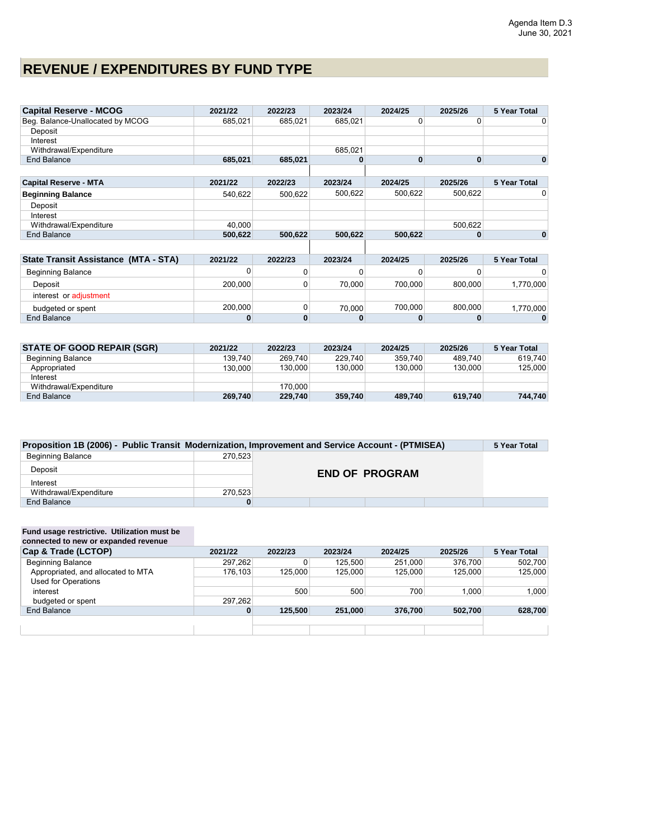# **REVENUE / EXPENDITURES BY FUND TYPE**

| <b>Capital Reserve - MCOG</b>               | 2021/22 | 2022/23 | 2023/24 | 2024/25  | 2025/26 | 5 Year Total        |
|---------------------------------------------|---------|---------|---------|----------|---------|---------------------|
| Beg. Balance-Unallocated by MCOG            | 685,021 | 685.021 | 685.021 |          |         | 0                   |
| Deposit                                     |         |         |         |          |         |                     |
| Interest                                    |         |         |         |          |         |                     |
| Withdrawal/Expenditure                      |         |         | 685.021 |          |         |                     |
| End Balance                                 | 685.021 | 685,021 |         | $\bf{0}$ | 0       | 0                   |
|                                             |         |         |         |          |         |                     |
| <b>Capital Reserve - MTA</b>                | 2021/22 | 2022/23 | 2023/24 | 2024/25  | 2025/26 | <b>5 Year Total</b> |
| <b>Beginning Balance</b>                    | 540.622 | 500.622 | 500,622 | 500.622  | 500,622 |                     |
| Deposit                                     |         |         |         |          |         |                     |
| Interest                                    |         |         |         |          |         |                     |
| Withdrawal/Expenditure                      | 40,000  |         |         |          | 500.622 |                     |
| End Balance                                 | 500.622 | 500,622 | 500,622 | 500.622  | 0       | 0                   |
|                                             |         |         |         |          |         |                     |
| <b>State Transit Assistance (MTA - STA)</b> | 2021/22 | 2022/23 | 2023/24 | 2024/25  | 2025/26 | <b>5 Year Total</b> |
| <b>Beginning Balance</b>                    | 0       |         |         |          |         | 0                   |

| Beginning Balance      |         |        |         |         |           |
|------------------------|---------|--------|---------|---------|-----------|
| Deposit                | 200.000 | 70.000 | 700.000 | 800.000 | 1.770.000 |
| interest or adiustment |         |        |         |         |           |
| budgeted or spent      | 200.000 | 70.000 | 700.000 | 800.000 | 1.770.000 |
| End Balance            |         |        |         |         |           |

| <b>STATE OF GOOD REPAIR (SGR)</b> | 2021/22 | 2022/23 | 2023/24 | 2024/25 | 2025/26 | 5 Year Total |
|-----------------------------------|---------|---------|---------|---------|---------|--------------|
| Beginning Balance                 | 139.740 | 269.740 | 229.740 | 359.740 | 489.740 | 619.740      |
| Appropriated                      | 130.000 | 130.000 | 130.000 | 130.000 | 130,000 | 125,000      |
| Interest                          |         |         |         |         |         |              |
| Withdrawal/Expenditure            |         | 170.000 |         |         |         |              |
| End Balance                       | 269,740 | 229,740 | 359,740 | 489,740 | 619,740 | 744.740      |

| Proposition 1B (2006) - Public Transit Modernization, Improvement and Service Account - (PTMISEA) |         |                       |  |  |  |  |  |  |  |  |
|---------------------------------------------------------------------------------------------------|---------|-----------------------|--|--|--|--|--|--|--|--|
| <b>Beginning Balance</b>                                                                          | 270.523 |                       |  |  |  |  |  |  |  |  |
| Deposit                                                                                           |         | <b>END OF PROGRAM</b> |  |  |  |  |  |  |  |  |
| Interest                                                                                          |         |                       |  |  |  |  |  |  |  |  |
| Withdrawal/Expenditure                                                                            | 270.523 |                       |  |  |  |  |  |  |  |  |
| End Balance                                                                                       | 0       |                       |  |  |  |  |  |  |  |  |

#### **Fund usage restrictive. Utilization must be connected to new or expanded revenue**

| connected to new or expanded revenue |         |         |         |         |         |              |
|--------------------------------------|---------|---------|---------|---------|---------|--------------|
| Cap & Trade (LCTOP)                  | 2021/22 | 2022/23 | 2023/24 | 2024/25 | 2025/26 | 5 Year Total |
| <b>Beginning Balance</b>             | 297.262 | 0       | 125.500 | 251.000 | 376.700 | 502.700      |
| Appropriated, and allocated to MTA   | 176.103 | 125,000 | 125.000 | 125.000 | 125,000 | 125,000      |
| <b>Used for Operations</b>           |         |         |         |         |         |              |
| interest                             |         | 500     | 500     | 700     | 1.000   | 1.000        |
| budgeted or spent                    | 297.262 |         |         |         |         |              |
| End Balance                          | 0       | 125,500 | 251.000 | 376.700 | 502,700 | 628,700      |
|                                      |         |         |         |         |         |              |
|                                      |         |         |         |         |         |              |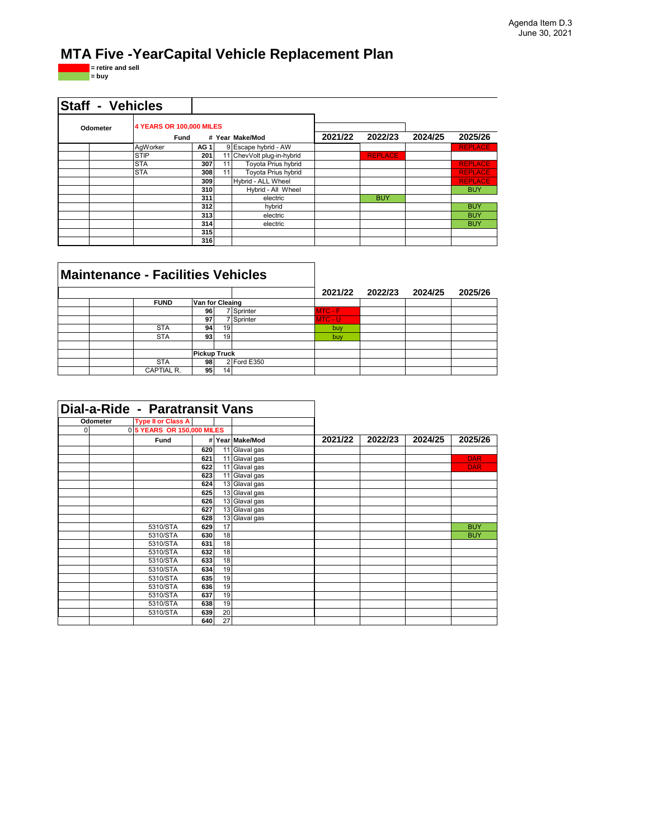# **MTA Five -YearCapital Vehicle Replacement Plan**

**= retire and sell = buy**

| <b>Staff - Vehicles</b> |                                         |                 |    |                            |         |                |         |                |
|-------------------------|-----------------------------------------|-----------------|----|----------------------------|---------|----------------|---------|----------------|
| Odometer                | <b>4 YEARS OR 100,000 MILES</b><br>Fund |                 |    | # Year Make/Mod            | 2021/22 | 2022/23        | 2024/25 | 2025/26        |
|                         | AqWorker                                | AG <sub>1</sub> |    | 9 Escape hybrid - AW       |         |                |         | <b>REPLACE</b> |
|                         | <b>STIP</b>                             | 201             |    | 11 ChevVolt plug-in-hybrid |         | <b>REPLACE</b> |         |                |
|                         | <b>STA</b>                              | 307             | 11 | <b>Toyota Prius hybrid</b> |         |                |         | <b>REPLACE</b> |
|                         | <b>STA</b>                              | 308             | 11 | Toyota Prius hybrid        |         |                |         | <b>REPLACE</b> |
|                         |                                         | 309             |    | Hybrid - ALL Wheel         |         |                |         | <b>REPLACE</b> |
|                         |                                         | 310             |    | Hybrid - All Wheel         |         |                |         | <b>BUY</b>     |
|                         |                                         | 311             |    | electric                   |         | <b>BUY</b>     |         |                |
|                         |                                         | 312             |    | hybrid                     |         |                |         | <b>BUY</b>     |
|                         |                                         | 313             |    | electric                   |         |                |         | <b>BUY</b>     |
|                         |                                         | 314             |    | electric                   |         |                |         | <b>BUY</b>     |
|                         |                                         | 315             |    |                            |         |                |         |                |
|                         |                                         | 316             |    |                            |         |                |         |                |

| <b>Maintenance - Facilities Vehicles</b> |                     |                 |                 |             |           |         |         |         |
|------------------------------------------|---------------------|-----------------|-----------------|-------------|-----------|---------|---------|---------|
|                                          |                     |                 |                 |             | 2021/22   | 2022/23 | 2024/25 | 2025/26 |
|                                          | <b>FUND</b>         | Van for Cleaing |                 |             |           |         |         |         |
|                                          |                     | 96              |                 | 7 Sprinter  | $MTC - F$ |         |         |         |
|                                          |                     | 97              |                 | 7 Sprinter  | MTC - U   |         |         |         |
|                                          | <b>STA</b>          | 94              | 19 <sup>1</sup> |             | buy       |         |         |         |
|                                          | <b>STA</b>          | 93 <sub>1</sub> | 19              |             | buy       |         |         |         |
|                                          |                     |                 |                 |             |           |         |         |         |
|                                          | <b>Pickup Truck</b> |                 |                 |             |           |         |         |         |
|                                          | <b>STA</b>          | 98              |                 | 2 Ford E350 |           |         |         |         |
|                                          | CAPTIAL R.          | 95 <sub>1</sub> | 14 <sub>1</sub> |             |           |         |         |         |

|          | Dial-a-Ride - Paratransit Vans |     |    |                            |         |         |         |            |
|----------|--------------------------------|-----|----|----------------------------|---------|---------|---------|------------|
| Odometer | <b>Type II or Class A</b>      |     |    |                            |         |         |         |            |
| $\Omega$ | 0 5 YEARS OR 150,000 MILES     |     |    |                            |         |         |         |            |
|          | Fund                           |     |    | # Year Make/Mod            | 2021/22 | 2022/23 | 2024/25 | 2025/26    |
|          |                                | 620 | 11 | Glaval gas                 |         |         |         |            |
|          |                                | 621 |    | 11 Glaval gas              |         |         |         | <b>DAR</b> |
|          |                                | 622 | 11 | Glaval gas                 |         |         |         | <b>DAR</b> |
|          |                                | 623 | 11 | Glaval gas                 |         |         |         |            |
|          |                                | 624 |    | 13 Glaval gas              |         |         |         |            |
|          |                                | 625 |    | 13 Glaval gas              |         |         |         |            |
|          |                                | 626 |    | $\overline{13}$ Glaval gas |         |         |         |            |
|          |                                | 627 |    | 13 Glaval gas              |         |         |         |            |
|          |                                | 628 |    | 13 Glaval gas              |         |         |         |            |
|          | 5310/STA                       | 629 | 17 |                            |         |         |         | <b>BUY</b> |
|          | 5310/STA                       | 630 | 18 |                            |         |         |         | <b>BUY</b> |
|          | 5310/STA                       | 631 | 18 |                            |         |         |         |            |
|          | 5310/STA                       | 632 | 18 |                            |         |         |         |            |
|          | 5310/STA                       | 633 | 18 |                            |         |         |         |            |
|          | 5310/STA                       | 634 | 19 |                            |         |         |         |            |
|          | 5310/STA                       | 635 | 19 |                            |         |         |         |            |
|          | 5310/STA                       | 636 | 19 |                            |         |         |         |            |
|          | 5310/STA                       | 637 | 19 |                            |         |         |         |            |
|          | 5310/STA                       | 638 | 19 |                            |         |         |         |            |
|          | 5310/STA                       | 639 | 20 |                            |         |         |         |            |
|          |                                | 640 | 27 |                            |         |         |         |            |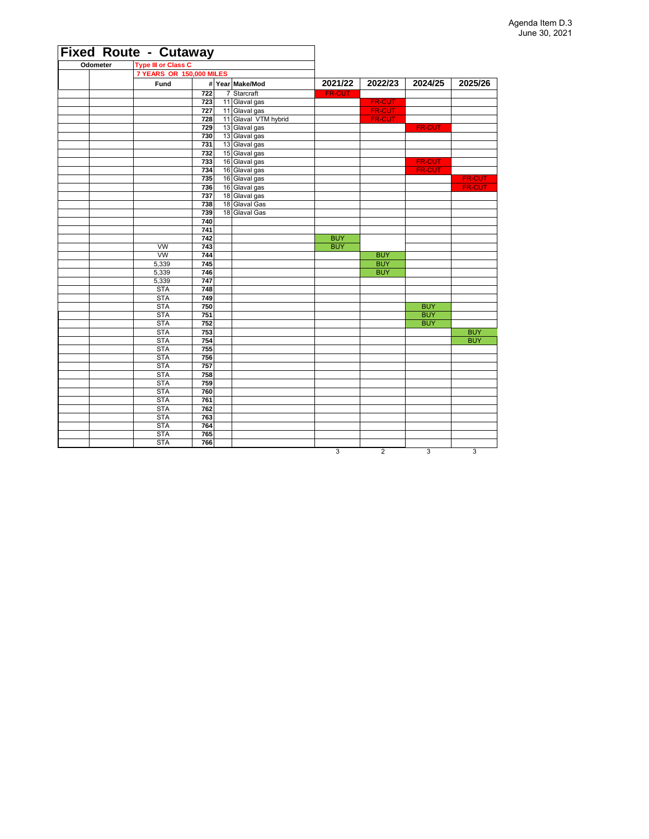|          | <b>Fixed Route - Cutaway</b> |            |                      |                |                |                          |               |
|----------|------------------------------|------------|----------------------|----------------|----------------|--------------------------|---------------|
| Odometer | <b>Type III or Class C</b>   |            |                      |                |                |                          |               |
|          | 7 YEARS OR 150,000 MILES     |            |                      |                |                |                          |               |
|          | Fund                         |            | # Year Make/Mod      | 2021/22        | 2022/23        | 2024/25                  | 2025/26       |
|          |                              | 722        | 7 Starcraft          | <b>FR-CUT</b>  |                |                          |               |
|          |                              | 723        | 11 Glaval gas        |                | <b>FR-CUT</b>  |                          |               |
|          |                              | 727        | 11 Glaval gas        |                | FR-CUT         |                          |               |
|          |                              | 728        | 11 Glaval VTM hybrid |                | <b>FR-CUT</b>  |                          |               |
|          |                              | 729        | 13 Glaval gas        |                |                | <b>FR-CUT</b>            |               |
|          |                              | 730        | 13 Glaval gas        |                |                |                          |               |
|          |                              | 731        | 13 Glaval gas        |                |                |                          |               |
|          |                              | 732        | 15 Glaval gas        |                |                |                          |               |
|          |                              | 733        | 16 Glaval gas        |                |                | <b>FR-CUT</b>            |               |
|          |                              | 734        | 16 Glaval gas        |                |                | <b>FR-CUT</b>            |               |
|          |                              | 735        | 16 Glaval gas        |                |                |                          | <b>FR-CUT</b> |
|          |                              | 736        | 16 Glaval gas        |                |                |                          | <b>FR-CUT</b> |
|          |                              | 737        | 18 Glaval gas        |                |                |                          |               |
|          |                              | 738        | 18 Glaval Gas        |                |                |                          |               |
|          |                              | 739        | 18 Glaval Gas        |                |                |                          |               |
|          |                              | 740        |                      |                |                |                          |               |
|          |                              | 741        |                      |                |                |                          |               |
|          |                              | 742        |                      | <b>BUY</b>     |                |                          |               |
|          | <b>VW</b>                    | 743        |                      | <b>BUY</b>     |                |                          |               |
|          | <b>VW</b>                    | 744        |                      |                | <b>BUY</b>     |                          |               |
|          | 5,339                        | 745        |                      |                | <b>BUY</b>     |                          |               |
|          | 5,339                        | 746        |                      |                | <b>BUY</b>     |                          |               |
|          | 5,339                        | 747        |                      |                |                |                          |               |
|          | <b>STA</b>                   | 748        |                      |                |                |                          |               |
|          | <b>STA</b>                   | 749        |                      |                |                |                          |               |
|          | <b>STA</b><br><b>STA</b>     | 750<br>751 |                      |                |                | <b>BUY</b><br><b>BUY</b> |               |
|          | <b>STA</b>                   | 752        |                      |                |                | <b>BUY</b>               |               |
|          | <b>STA</b>                   | 753        |                      |                |                |                          | <b>BUY</b>    |
|          | <b>STA</b>                   | 754        |                      |                |                |                          | <b>BUY</b>    |
|          | <b>STA</b>                   | 755        |                      |                |                |                          |               |
|          | <b>STA</b>                   | 756        |                      |                |                |                          |               |
|          | <b>STA</b>                   | 757        |                      |                |                |                          |               |
|          | <b>STA</b>                   | 758        |                      |                |                |                          |               |
|          | <b>STA</b>                   | 759        |                      |                |                |                          |               |
|          | <b>STA</b>                   | 760        |                      |                |                |                          |               |
|          | <b>STA</b>                   | 761        |                      |                |                |                          |               |
|          | <b>STA</b>                   | 762        |                      |                |                |                          |               |
|          | <b>STA</b>                   | 763        |                      |                |                |                          |               |
|          | <b>STA</b>                   | 764        |                      |                |                |                          |               |
|          | <b>STA</b>                   | 765        |                      |                |                |                          |               |
|          | <b>STA</b>                   | 766        |                      |                |                |                          |               |
|          |                              |            |                      | $\overline{3}$ | $\overline{2}$ | $\overline{3}$           | 3             |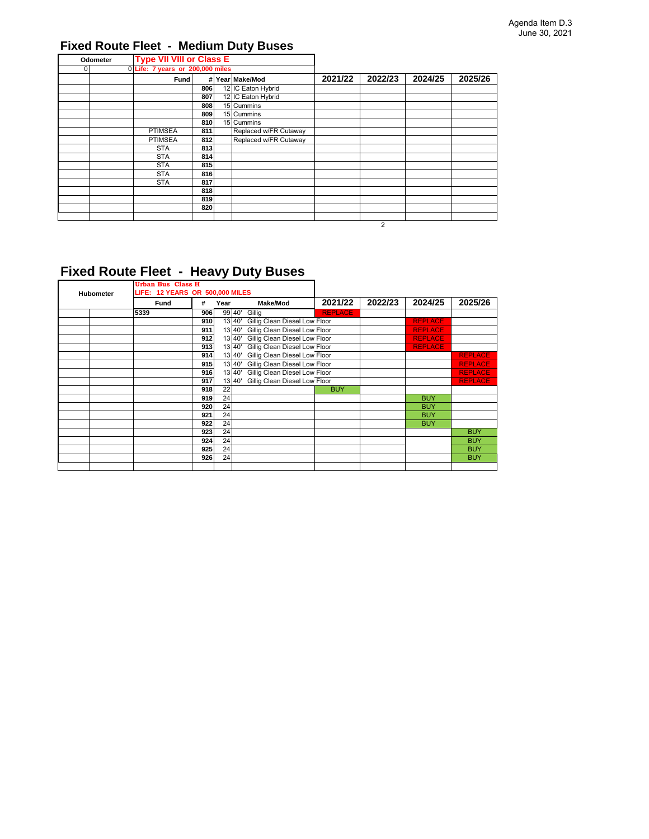### **Fixed Route Fleet - Medium Duty Buses**

| Odometer | <b>Type VII VIII or Class E</b>  |     |                       |         |         |         |         |
|----------|----------------------------------|-----|-----------------------|---------|---------|---------|---------|
| $\Omega$ | 0 Life: 7 years or 200,000 miles |     |                       |         |         |         |         |
|          | Fund                             |     | # Year Make/Mod       | 2021/22 | 2022/23 | 2024/25 | 2025/26 |
|          |                                  | 806 | 12 IC Eaton Hybrid    |         |         |         |         |
|          |                                  | 807 | 12 IC Eaton Hybrid    |         |         |         |         |
|          |                                  | 808 | 15 Cummins            |         |         |         |         |
|          |                                  | 809 | 15 Cummins            |         |         |         |         |
|          |                                  | 810 | 15 Cummins            |         |         |         |         |
|          | <b>PTIMSEA</b>                   | 811 | Replaced w/FR Cutaway |         |         |         |         |
|          | <b>PTIMSEA</b>                   | 812 | Replaced w/FR Cutaway |         |         |         |         |
|          | <b>STA</b>                       | 813 |                       |         |         |         |         |
|          | <b>STA</b>                       | 814 |                       |         |         |         |         |
|          | <b>STA</b>                       | 815 |                       |         |         |         |         |
|          | <b>STA</b>                       | 816 |                       |         |         |         |         |
|          | <b>STA</b>                       | 817 |                       |         |         |         |         |
|          |                                  | 818 |                       |         |         |         |         |
|          |                                  | 819 |                       |         |         |         |         |
|          |                                  | 820 |                       |         |         |         |         |
|          |                                  |     |                       |         |         |         |         |
|          |                                  |     |                       |         | 2       |         |         |

## **Fixed Route Fleet - Heavy Duty Buses**

|                  | Urban Bus Class H               |           |        |                                      |                |         |                |                |
|------------------|---------------------------------|-----------|--------|--------------------------------------|----------------|---------|----------------|----------------|
| <b>Hubometer</b> | LIFE: 12 YEARS OR 500,000 MILES |           |        |                                      |                |         |                |                |
|                  | Fund                            | #<br>Year |        | <b>Make/Mod</b>                      | 2021/22        | 2022/23 | 2024/25        | 2025/26        |
|                  | 5339                            | 906       | 99 40' | Gillig                               | <b>REPLACE</b> |         |                |                |
|                  |                                 | 910       | 13 40' | Gillig Clean Diesel Low Floor        |                |         | <b>REPLACE</b> |                |
|                  |                                 | 911       |        | 13 40' Gillig Clean Diesel Low Floor |                |         | <b>REPLACE</b> |                |
|                  |                                 | 912       | 13 40' | Gillig Clean Diesel Low Floor        |                |         | <b>REPLACE</b> |                |
|                  |                                 | 913       | 13 40' | Gillig Clean Diesel Low Floor        |                |         | <b>REPLACE</b> |                |
|                  |                                 | 914       | 13 40' | Gillig Clean Diesel Low Floor        |                |         |                | <b>REPLACE</b> |
|                  |                                 | 915       | 13 40' | Gillig Clean Diesel Low Floor        |                |         |                | <b>REPLACE</b> |
|                  |                                 | 916       | 13 40' | Gillig Clean Diesel Low Floor        |                |         |                | <b>REPLACE</b> |
|                  |                                 | 917       |        | 13 40' Gillig Clean Diesel Low Floor |                |         |                | <b>REPLACE</b> |
|                  |                                 | 918       | 22     |                                      | <b>BUY</b>     |         |                |                |
|                  |                                 | 919       | 24     |                                      |                |         | <b>BUY</b>     |                |
|                  |                                 | 920       | 24     |                                      |                |         | <b>BUY</b>     |                |
|                  |                                 | 921       | 24     |                                      |                |         | <b>BUY</b>     |                |
|                  |                                 | 922       | 24     |                                      |                |         | <b>BUY</b>     |                |
|                  |                                 | 923       | 24     |                                      |                |         |                | <b>BUY</b>     |
|                  |                                 | 924       | 24     |                                      |                |         |                | <b>BUY</b>     |
|                  |                                 | 925       | 24     |                                      |                |         |                | <b>BUY</b>     |
|                  |                                 | 926       | 24     |                                      |                |         |                | <b>BUY</b>     |
|                  |                                 |           |        |                                      |                |         |                |                |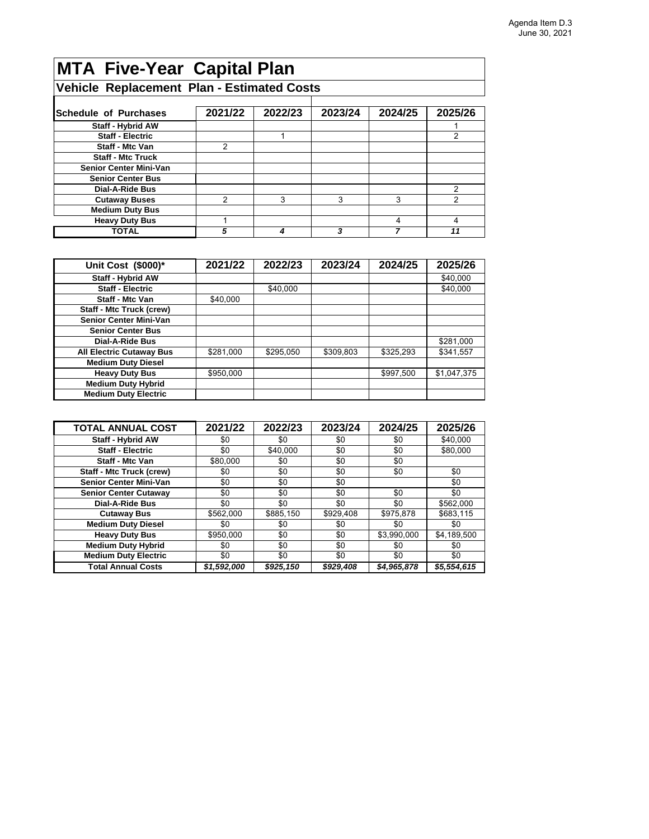# **MTA Five-Year Capital Plan**

### **Vehicle Replacement Plan - Estimated Costs**

| <b>Schedule of Purchases</b>  | 2021/22 | 2022/23 | 2023/24 | 2024/25 | 2025/26 |
|-------------------------------|---------|---------|---------|---------|---------|
| Staff - Hybrid AW             |         |         |         |         |         |
| <b>Staff - Electric</b>       |         |         |         |         |         |
| Staff - Mtc Van               | 2       |         |         |         |         |
| <b>Staff - Mtc Truck</b>      |         |         |         |         |         |
| <b>Senior Center Mini-Van</b> |         |         |         |         |         |
| <b>Senior Center Bus</b>      |         |         |         |         |         |
| <b>Dial-A-Ride Bus</b>        |         |         |         |         |         |
| <b>Cutaway Buses</b>          | ⌒       | 3       | 3       | 3       |         |
| <b>Medium Duty Bus</b>        |         |         |         |         |         |
| <b>Heavy Duty Bus</b>         |         |         |         |         |         |
| TOTAL                         | 5       |         | ?       |         | 11      |

| Unit Cost (\$000)*              | 2021/22   | 2022/23   | 2023/24   | 2024/25   | 2025/26     |
|---------------------------------|-----------|-----------|-----------|-----------|-------------|
| <b>Staff - Hybrid AW</b>        |           |           |           |           | \$40,000    |
| <b>Staff - Electric</b>         |           | \$40,000  |           |           | \$40,000    |
| <b>Staff - Mtc Van</b>          | \$40,000  |           |           |           |             |
| <b>Staff - Mtc Truck (crew)</b> |           |           |           |           |             |
| <b>Senior Center Mini-Van</b>   |           |           |           |           |             |
| <b>Senior Center Bus</b>        |           |           |           |           |             |
| Dial-A-Ride Bus                 |           |           |           |           | \$281,000   |
| <b>All Electric Cutaway Bus</b> | \$281,000 | \$295,050 | \$309,803 | \$325,293 | \$341,557   |
| <b>Medium Duty Diesel</b>       |           |           |           |           |             |
| <b>Heavy Duty Bus</b>           | \$950,000 |           |           | \$997,500 | \$1,047,375 |
| <b>Medium Duty Hybrid</b>       |           |           |           |           |             |
| <b>Medium Duty Electric</b>     |           |           |           |           |             |

| <b>TOTAL ANNUAL COST</b>        | 2021/22     | 2022/23   | 2023/24   | 2024/25     | 2025/26     |
|---------------------------------|-------------|-----------|-----------|-------------|-------------|
| <b>Staff - Hybrid AW</b>        | \$0         | \$0       | \$0       | \$0         | \$40,000    |
| <b>Staff - Electric</b>         | \$0         | \$40,000  | \$0       | \$0         | \$80,000    |
| <b>Staff - Mtc Van</b>          | \$80,000    | \$0       | \$0       | \$0         |             |
| <b>Staff - Mtc Truck (crew)</b> | \$0         | \$0       | \$0       | \$0         | \$0         |
| <b>Senior Center Mini-Van</b>   | \$0         | \$0       | \$0       |             | \$0         |
| <b>Senior Center Cutaway</b>    | \$0         | \$0       | \$0       | \$0         | \$0         |
| Dial-A-Ride Bus                 | \$0         | \$0       | \$0       | \$0         | \$562.000   |
| <b>Cutaway Bus</b>              | \$562,000   | \$885,150 | \$929,408 | \$975,878   | \$683,115   |
| <b>Medium Duty Diesel</b>       | \$0         | \$0       | \$0       | \$0         | \$0         |
| <b>Heavy Duty Bus</b>           | \$950,000   | \$0       | \$0       | \$3,990,000 | \$4,189,500 |
| <b>Medium Duty Hybrid</b>       | \$0         | \$0       | \$0       | \$0         | \$0         |
| <b>Medium Duty Electric</b>     | \$0         | \$0       | \$0       | \$0         | \$0         |
| <b>Total Annual Costs</b>       | \$1,592,000 | \$925,150 | \$929,408 | \$4,965,878 | \$5,554,615 |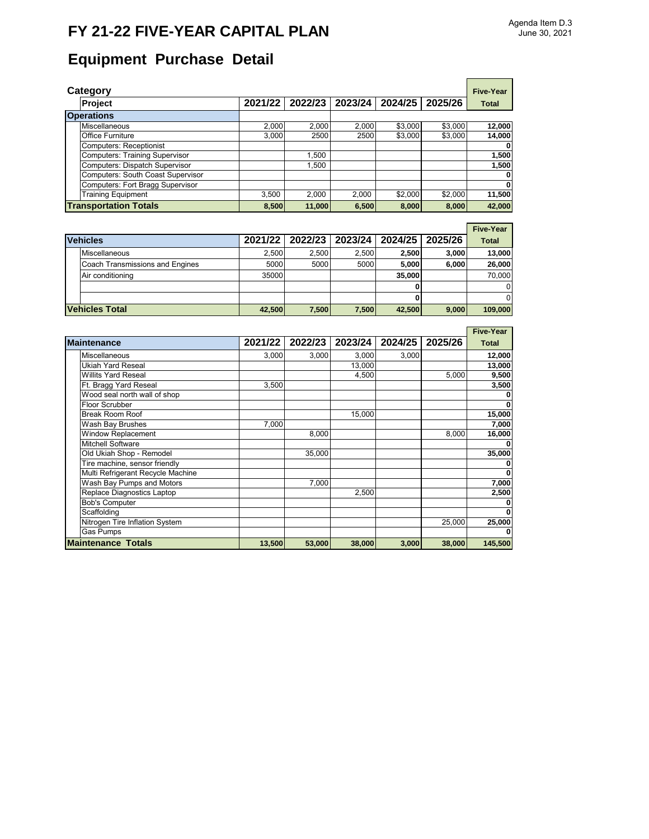# **FY 21-22 FIVE-YEAR CAPITAL PLAN**

 $\blacksquare$ 

# **Equipment Purchase Detail**

| Category                                 |         |         |         |         |         | <b>Five-Year</b> |
|------------------------------------------|---------|---------|---------|---------|---------|------------------|
| Project                                  | 2021/22 | 2022/23 | 2023/24 | 2024/25 | 2025/26 | <b>Total</b>     |
| <b>Operations</b>                        |         |         |         |         |         |                  |
| Miscellaneous                            | 2,000   | 2.000   | 2.000   | \$3,000 | \$3,000 | 12,000           |
| <b>Office Furniture</b>                  | 3,000   | 2500    | 2500    | \$3,000 | \$3,000 | 14,000           |
| <b>Computers: Receptionist</b>           |         |         |         |         |         | 0                |
| <b>Computers: Training Supervisor</b>    |         | 1.500   |         |         |         | 1,500            |
| Computers: Dispatch Supervisor           |         | 1.500   |         |         |         | 1,500            |
| <b>Computers: South Coast Supervisor</b> |         |         |         |         |         | 0                |
| Computers: Fort Bragg Supervisor         |         |         |         |         |         | $\mathbf 0$      |
| <b>Training Equipment</b>                | 3.500   | 2.000   | 2.000   | \$2,000 | \$2,000 | 11,500           |
| <b>Transportation Totals</b>             | 8,500   | 11,000  | 6,500   | 8,000   | 8.000   | 42,000           |

|                                 |        |                             |       |         |         | <b>Five-Year</b> |
|---------------------------------|--------|-----------------------------|-------|---------|---------|------------------|
| <b>Vehicles</b>                 |        | 2021/22   2022/23   2023/24 |       | 2024/25 | 2025/26 | <b>Total</b>     |
| <b>Miscellaneous</b>            | 2.500  | 2.500                       | 2.500 | 2,500   | 3,000   | 13,000           |
| Coach Transmissions and Engines | 5000   | 5000                        | 5000  | 5.000   | 6,000   | 26,000           |
| Air conditioning                | 35000  |                             |       | 35,000  |         | 70.000           |
|                                 |        |                             |       |         |         | $\Omega$         |
|                                 |        |                             |       |         |         | $\Omega$         |
| <b>Vehicles Total</b>           | 42,500 | 7,500                       | 7,500 | 42,500  | 9,000   | 109,000          |

|                                   |         |         |         |         |         | <b>Five-Year</b> |
|-----------------------------------|---------|---------|---------|---------|---------|------------------|
| <b>Maintenance</b>                | 2021/22 | 2022/23 | 2023/24 | 2024/25 | 2025/26 | <b>Total</b>     |
| Miscellaneous                     | 3,000   | 3,000   | 3,000   | 3,000   |         | 12,000           |
| <b>Ukiah Yard Reseal</b>          |         |         | 13,000  |         |         | 13,000           |
| <b>Willits Yard Reseal</b>        |         |         | 4,500   |         | 5,000   | 9,500            |
| Ft. Bragg Yard Reseal             | 3,500   |         |         |         |         | 3,500            |
| Wood seal north wall of shop      |         |         |         |         |         |                  |
| <b>Floor Scrubber</b>             |         |         |         |         |         |                  |
| <b>Break Room Roof</b>            |         |         | 15,000  |         |         | 15,000           |
| Wash Bay Brushes                  | 7,000   |         |         |         |         | 7,000            |
| <b>Window Replacement</b>         |         | 8,000   |         |         | 8,000   | 16,000           |
| <b>Mitchell Software</b>          |         |         |         |         |         |                  |
| Old Ukiah Shop - Remodel          |         | 35,000  |         |         |         | 35,000           |
| Tire machine, sensor friendly     |         |         |         |         |         |                  |
| Multi Refrigerant Recycle Machine |         |         |         |         |         |                  |
| Wash Bay Pumps and Motors         |         | 7,000   |         |         |         | 7,000            |
| Replace Diagnostics Laptop        |         |         | 2,500   |         |         | 2,500            |
| <b>Bob's Computer</b>             |         |         |         |         |         |                  |
| Scaffolding                       |         |         |         |         |         |                  |
| Nitrogen Tire Inflation System    |         |         |         |         | 25,000  | 25,000           |
| <b>Gas Pumps</b>                  |         |         |         |         |         |                  |
| <b>Maintenance Totals</b>         | 13,500  | 53,000  | 38,000  | 3,000   | 38,000  | 145,500          |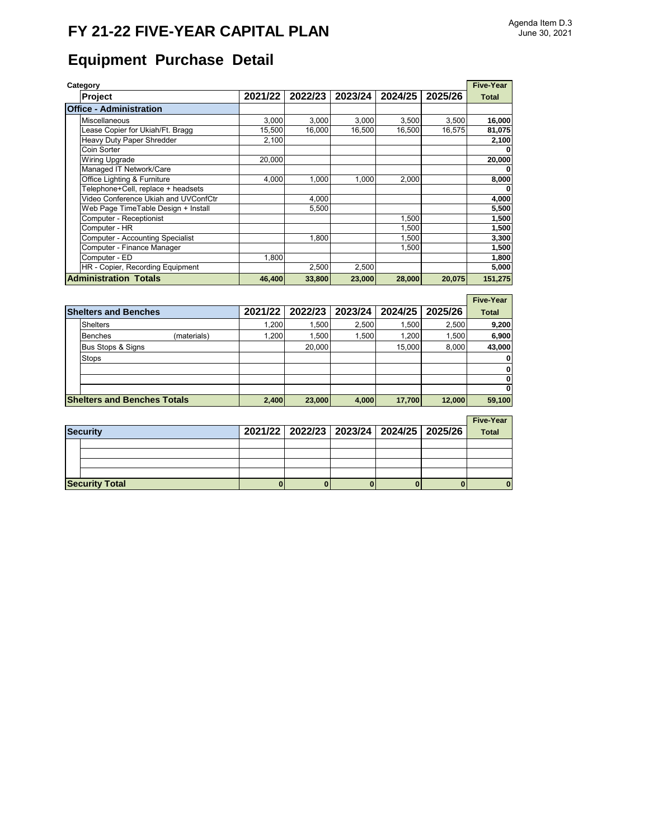# **FY 21-22 FIVE-YEAR CAPITAL PLAN**

# **Equipment Purchase Detail**

| Category                                |         |         |         |         |         | <b>Five-Year</b> |
|-----------------------------------------|---------|---------|---------|---------|---------|------------------|
| <b>Project</b>                          | 2021/22 | 2022/23 | 2023/24 | 2024/25 | 2025/26 | <b>Total</b>     |
| <b>Office - Administration</b>          |         |         |         |         |         |                  |
| Miscellaneous                           | 3,000   | 3,000   | 3,000   | 3,500   | 3,500   | 16,000           |
| Lease Copier for Ukiah/Ft. Bragg        | 15,500  | 16.000  | 16.500  | 16,500  | 16.575  | 81,075           |
| Heavy Duty Paper Shredder               | 2,100   |         |         |         |         | 2,100            |
| Coin Sorter                             |         |         |         |         |         | 0                |
| <b>Wiring Upgrade</b>                   | 20,000  |         |         |         |         | 20,000           |
| Managed IT Network/Care                 |         |         |         |         |         | 0                |
| Office Lighting & Furniture             | 4.000   | 1,000   | 1,000   | 2,000   |         | 8,000            |
| Telephone+Cell, replace + headsets      |         |         |         |         |         | 0                |
| Video Conference Ukiah and UVConfCtr    |         | 4.000   |         |         |         | 4,000            |
| Web Page TimeTable Design + Install     |         | 5,500   |         |         |         | 5,500            |
| Computer - Receptionist                 |         |         |         | 1,500   |         | 1,500            |
| Computer - HR                           |         |         |         | 1,500   |         | 1,500            |
| <b>Computer - Accounting Specialist</b> |         | 1,800   |         | 1,500   |         | 3,300            |
| Computer - Finance Manager              |         |         |         | 1,500   |         | 1,500            |
| Computer - ED                           | 1,800   |         |         |         |         | 1,800            |
| HR - Copier, Recording Equipment        |         | 2,500   | 2,500   |         |         | 5,000            |
| <b>Administration Totals</b>            | 46,400  | 33,800  | 23,000  | 28,000  | 20,075  | 151,275          |

|                                    |             |         |         |         |         |         | <b>Five-Year</b> |
|------------------------------------|-------------|---------|---------|---------|---------|---------|------------------|
| <b>Shelters and Benches</b>        |             | 2021/22 | 2022/23 | 2023/24 | 2024/25 | 2025/26 | <b>Total</b>     |
| <b>Shelters</b>                    |             | 1.200   | 1.500   | 2.500   | 1.500   | 2.500   | 9,200            |
| <b>Benches</b>                     | (materials) | 1,200   | 1.500   | 1,500   | 1,200   | 1,500   | 6,900            |
| Bus Stops & Signs                  |             |         | 20,000  |         | 15,000  | 8,000   | 43,000           |
| <b>Stops</b>                       |             |         |         |         |         |         | $\mathbf{0}$     |
|                                    |             |         |         |         |         |         | $\mathbf{0}$     |
|                                    |             |         |         |         |         |         | 0                |
|                                    |             |         |         |         |         |         | 0                |
| <b>Shelters and Benches Totals</b> |             | 2,400   | 23,000  | 4,000   | 17,700  | 12,000  | 59,100           |

### **Five-Year**

| <b>Security</b>       |  |  | 2021/22   2022/23   2023/24   2024/25   2025/26 | <b>Total</b> |
|-----------------------|--|--|-------------------------------------------------|--------------|
|                       |  |  |                                                 |              |
|                       |  |  |                                                 |              |
|                       |  |  |                                                 |              |
|                       |  |  |                                                 |              |
| <b>Security Total</b> |  |  |                                                 |              |